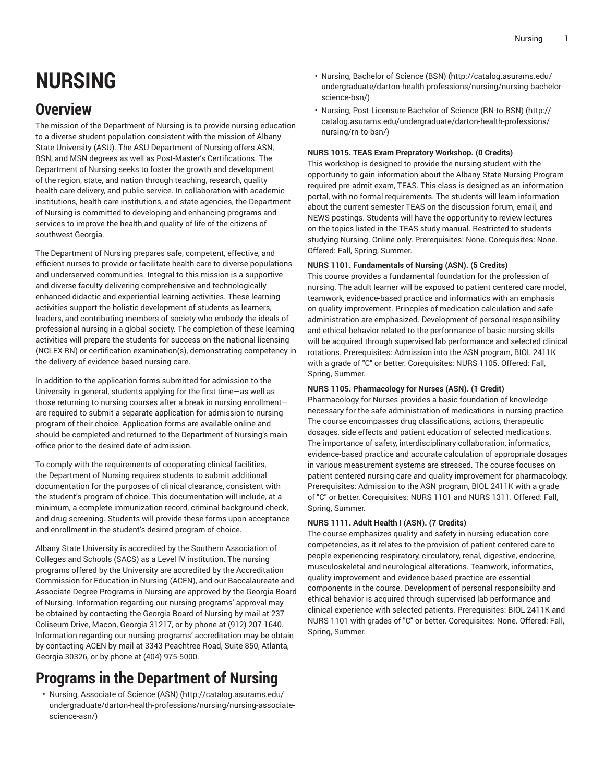# **NURSING**

# **Overview**

The mission of the Department of Nursing is to provide nursing education to a diverse student population consistent with the mission of Albany State University (ASU). The ASU Department of Nursing offers ASN, BSN, and MSN degrees as well as Post-Master's Certifications. The Department of Nursing seeks to foster the growth and development of the region, state, and nation through teaching, research, quality health care delivery, and public service. In collaboration with academic institutions, health care institutions, and state agencies, the Department of Nursing is committed to developing and enhancing programs and services to improve the health and quality of life of the citizens of southwest Georgia.

The Department of Nursing prepares safe, competent, effective, and efficient nurses to provide or facilitate health care to diverse populations and underserved communities. Integral to this mission is a supportive and diverse faculty delivering comprehensive and technologically enhanced didactic and experiential learning activities. These learning activities support the holistic development of students as learners, leaders, and contributing members of society who embody the ideals of professional nursing in a global society. The completion of these learning activities will prepare the students for success on the national licensing (NCLEX-RN) or certification examination(s), demonstrating competency in the delivery of evidence based nursing care.

In addition to the application forms submitted for admission to the University in general, students applying for the first time—as well as those returning to nursing courses after a break in nursing enrollment are required to submit a separate application for admission to nursing program of their choice. Application forms are available online and should be completed and returned to the Department of Nursing's main office prior to the desired date of admission.

To comply with the requirements of cooperating clinical facilities, the Department of Nursing requires students to submit additional documentation for the purposes of clinical clearance, consistent with the student's program of choice. This documentation will include, at a minimum, a complete immunization record, criminal background check, and drug screening. Students will provide these forms upon acceptance and enrollment in the student's desired program of choice.

Albany State University is accredited by the Southern Association of Colleges and Schools (SACS) as a Level IV institution. The nursing programs offered by the University are accredited by the Accreditation Commission for Education in Nursing (ACEN), and our Baccalaureate and Associate Degree Programs in Nursing are approved by the Georgia Board of Nursing. Information regarding our nursing programs' approval may be obtained by contacting the Georgia Board of Nursing by mail at 237 Coliseum Drive, Macon, Georgia 31217, or by phone at (912) 207-1640. Information regarding our nursing programs' accreditation may be obtain by contacting ACEN by mail at 3343 Peachtree Road, Suite 850, Atlanta, Georgia 30326, or by phone at (404) 975-5000.

# **Programs in the Department of Nursing**

• [Nursing, Associate of Science \(ASN\)](http://catalog.asurams.edu/undergraduate/darton-health-professions/nursing/nursing-associate-science-asn/) [\(http://catalog.asurams.edu/](http://catalog.asurams.edu/undergraduate/darton-health-professions/nursing/nursing-associate-science-asn/) [undergraduate/darton-health-professions/nursing/nursing-associate](http://catalog.asurams.edu/undergraduate/darton-health-professions/nursing/nursing-associate-science-asn/)[science-asn/](http://catalog.asurams.edu/undergraduate/darton-health-professions/nursing/nursing-associate-science-asn/))

- [Nursing, Bachelor of Science \(BSN\) \(http://catalog.asurams.edu/](http://catalog.asurams.edu/undergraduate/darton-health-professions/nursing/nursing-bachelor-science-bsn/) [undergraduate/darton-health-professions/nursing/nursing-bachelor](http://catalog.asurams.edu/undergraduate/darton-health-professions/nursing/nursing-bachelor-science-bsn/)[science-bsn/\)](http://catalog.asurams.edu/undergraduate/darton-health-professions/nursing/nursing-bachelor-science-bsn/)
- Nursing, [Post-Licensure](http://catalog.asurams.edu/undergraduate/darton-health-professions/nursing/rn-to-bsn/) Bachelor of Science (RN-to-BSN) ([http://](http://catalog.asurams.edu/undergraduate/darton-health-professions/nursing/rn-to-bsn/) [catalog.asurams.edu/undergraduate/darton-health-professions/](http://catalog.asurams.edu/undergraduate/darton-health-professions/nursing/rn-to-bsn/) [nursing/rn-to-bsn/](http://catalog.asurams.edu/undergraduate/darton-health-professions/nursing/rn-to-bsn/))

# **NURS 1015. TEAS Exam Prepratory Workshop. (0 Credits)**

This workshop is designed to provide the nursing student with the opportunity to gain information about the Albany State Nursing Program required pre-admit exam, TEAS. This class is designed as an information portal, with no formal requirements. The students will learn information about the current semester TEAS on the discussion forum, email, and NEWS postings. Students will have the opportunity to review lectures on the topics listed in the TEAS study manual. Restricted to students studying Nursing. Online only. Prerequisites: None. Corequisites: None. Offered: Fall, Spring, Summer.

# **NURS 1101. Fundamentals of Nursing (ASN). (5 Credits)**

This course provides a fundamental foundation for the profession of nursing. The adult learner will be exposed to patient centered care model, teamwork, evidence-based practice and informatics with an emphasis on quality improvement. Princples of medication calculation and safe administration are emphasized. Development of personal responsibility and ethical behavior related to the performance of basic nursing skills will be acquired through supervised lab performance and selected clinical rotations. Prerequisites: Admission into the ASN program, BIOL 2411K with a grade of "C" or better. Corequisites: NURS 1105. Offered: Fall, Spring, Summer.

# **NURS 1105. Pharmacology for Nurses (ASN). (1 Credit)**

Pharmacology for Nurses provides a basic foundation of knowledge necessary for the safe administration of medications in nursing practice. The course encompasses drug classifications, actions, therapeutic dosages, side effects and patient education of selected medications. The importance of safety, interdisciplinary collaboration, informatics, evidence-based practice and accurate calculation of appropriate dosages in various measurement systems are stressed. The course focuses on patient centered nursing care and quality improvement for pharmacology. Prerequisites: Admission to the ASN program, BIOL 2411K with a grade of "C" or better. Corequisites: NURS 1101 and NURS 1311. Offered: Fall, Spring, Summer.

# **NURS 1111. Adult Health I (ASN). (7 Credits)**

The course emphasizes quality and safety in nursing education core competencies, as it relates to the provision of patient centered care to people experiencing respiratory, circulatory, renal, digestive, endocrine, musculoskeletal and neurological alterations. Teamwork, informatics, quality improvement and evidence based practice are essential components in the course. Development of personal responsibilty and ethical behavior is acquired through supervised lab performance and clinical experience with selected patients. Prerequisites: BIOL 2411K and NURS 1101 with grades of "C" or better. Corequisites: None. Offered: Fall, Spring, Summer.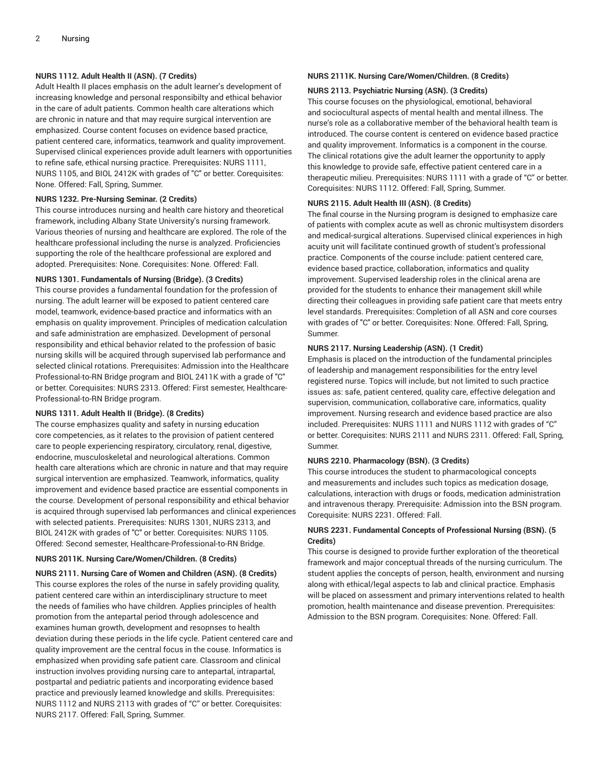# **NURS 1112. Adult Health II (ASN). (7 Credits)**

Adult Health II places emphasis on the adult learner's development of increasing knowledge and personal responsibilty and ethical behavior in the care of adult patients. Common health care alterations which are chronic in nature and that may require surgical intervention are emphasized. Course content focuses on evidence based practice, patient centered care, informatics, teamwork and quality improvement. Supervised clinical experiences provide adult learners with opportunities to refine safe, ethical nursing practice. Prerequisites: NURS 1111, NURS 1105, and BIOL 2412K with grades of "C" or better. Corequisites: None. Offered: Fall, Spring, Summer.

# **NURS 1232. Pre-Nursing Seminar. (2 Credits)**

This course introduces nursing and health care history and theoretical framework, including Albany State University's nursing framework. Various theories of nursing and healthcare are explored. The role of the healthcare professional including the nurse is analyzed. Proficiencies supporting the role of the healthcare professional are explored and adopted. Prerequisites: None. Corequisites: None. Offered: Fall.

# **NURS 1301. Fundamentals of Nursing (Bridge). (3 Credits)**

This course provides a fundamental foundation for the profession of nursing. The adult learner will be exposed to patient centered care model, teamwork, evidence-based practice and informatics with an emphasis on quality improvement. Principles of medication calculation and safe administration are emphasized. Development of personal responsibility and ethical behavior related to the profession of basic nursing skills will be acquired through supervised lab performance and selected clinical rotations. Prerequisites: Admission into the Healthcare Professional-to-RN Bridge program and BIOL 2411K with a grade of "C" or better. Corequisites: NURS 2313. Offered: First semester, Healthcare-Professional-to-RN Bridge program.

# **NURS 1311. Adult Health II (Bridge). (8 Credits)**

The course emphasizes quality and safety in nursing education core competencies, as it relates to the provision of patient centered care to people experiencing respiratory, circulatory, renal, digestive, endocrine, musculoskeletal and neurological alterations. Common health care alterations which are chronic in nature and that may require surgical intervention are emphasized. Teamwork, informatics, quality improvement and evidence based practice are essential components in the course. Development of personal responsibility and ethical behavior is acquired through supervised lab performances and clinical experiences with selected patients. Prerequisites: NURS 1301, NURS 2313, and BIOL 2412K with grades of "C" or better. Corequisites: NURS 1105. Offered: Second semester, Healthcare-Professional-to-RN Bridge.

# **NURS 2011K. Nursing Care/Women/Children. (8 Credits)**

**NURS 2111. Nursing Care of Women and Children (ASN). (8 Credits)** This course explores the roles of the nurse in safely providing quality, patient centered care within an interdisciplinary structure to meet the needs of families who have children. Applies principles of health promotion from the antepartal period through adolescence and examines human growth, development and resopnses to health deviation during these periods in the life cycle. Patient centered care and quality improvement are the central focus in the couse. Informatics is emphasized when providing safe patient care. Classroom and clinical instruction involves providing nursing care to antepartal, intrapartal, postpartal and pediatric patients and incorporating evidence based practice and previously learned knowledge and skills. Prerequisites: NURS 1112 and NURS 2113 with grades of "C" or better. Corequisites: NURS 2117. Offered: Fall, Spring, Summer.

# **NURS 2111K. Nursing Care/Women/Children. (8 Credits)**

# **NURS 2113. Psychiatric Nursing (ASN). (3 Credits)**

This course focuses on the physiological, emotional, behavioral and sociocultural aspects of mental health and mental illness. The nurse's role as a collaborative member of the behavioral health team is introduced. The course content is centered on evidence based practice and quality improvement. Informatics is a component in the course. The clinical rotations give the adult learner the opportunity to apply this knowledge to provide safe, effective patient centered care in a therapeutic milieu. Prerequisites: NURS 1111 with a grade of "C" or better. Corequisites: NURS 1112. Offered: Fall, Spring, Summer.

# **NURS 2115. Adult Health III (ASN). (8 Credits)**

The final course in the Nursing program is designed to emphasize care of patients with complex acute as well as chronic multisystem disorders and medical-surgical alterations. Supervised clinical experiences in high acuity unit will facilitate continued growth of student's professional practice. Components of the course include: patient centered care, evidence based practice, collaboration, informatics and quality improvement. Supervised leadership roles in the clinical arena are provided for the students to enhance their management skill while directing their colleagues in providing safe patient care that meets entry level standards. Prerequisites: Completion of all ASN and core courses with grades of "C" or better. Corequisites: None. Offered: Fall, Spring, Summer.

# **NURS 2117. Nursing Leadership (ASN). (1 Credit)**

Emphasis is placed on the introduction of the fundamental principles of leadership and management responsibilities for the entry level registered nurse. Topics will include, but not limited to such practice issues as: safe, patient centered, quality care, effective delegation and supervision, communication, collaborative care, informatics, quality improvement. Nursing research and evidence based practice are also included. Prerequisites: NURS 1111 and NURS 1112 with grades of "C" or better. Corequisites: NURS 2111 and NURS 2311. Offered: Fall, Spring, Summer.

# **NURS 2210. Pharmacology (BSN). (3 Credits)**

This course introduces the student to pharmacological concepts and measurements and includes such topics as medication dosage, calculations, interaction with drugs or foods, medication administration and intravenous therapy. Prerequisite: Admission into the BSN program. Corequisite: NURS 2231. Offered: Fall.

# **NURS 2231. Fundamental Concepts of Professional Nursing (BSN). (5 Credits)**

This course is designed to provide further exploration of the theoretical framework and major conceptual threads of the nursing curriculum. The student applies the concepts of person, health, environment and nursing along with ethical/legal aspects to lab and clinical practice. Emphasis will be placed on assessment and primary interventions related to health promotion, health maintenance and disease prevention. Prerequisites: Admission to the BSN program. Corequisites: None. Offered: Fall.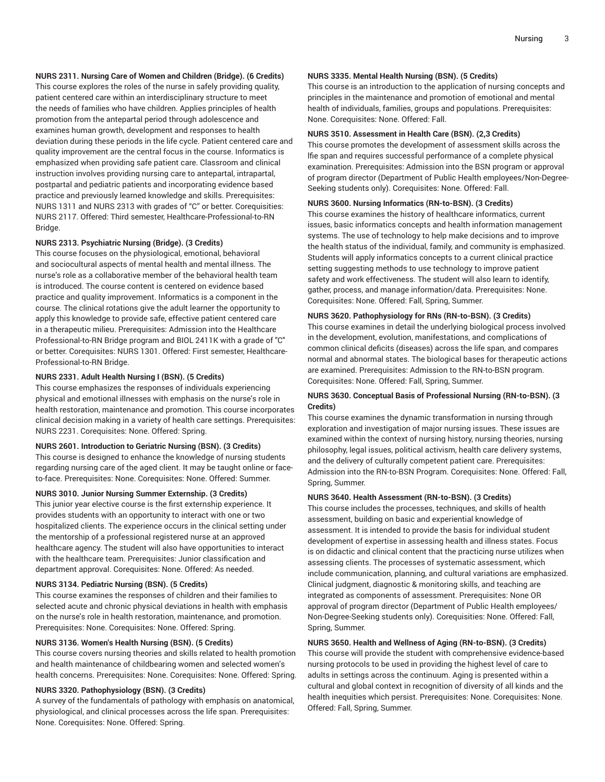# **NURS 2311. Nursing Care of Women and Children (Bridge). (6 Credits)**

This course explores the roles of the nurse in safely providing quality, patient centered care within an interdisciplinary structure to meet the needs of families who have children. Applies principles of health promotion from the antepartal period through adolescence and examines human growth, development and responses to health deviation during these periods in the life cycle. Patient centered care and quality improvement are the central focus in the course. Informatics is emphasized when providing safe patient care. Classroom and clinical instruction involves providing nursing care to antepartal, intrapartal, postpartal and pediatric patients and incorporating evidence based practice and previously learned knowledge and skills. Prerequisites: NURS 1311 and NURS 2313 with grades of "C" or better. Corequisities: NURS 2117. Offered: Third semester, Healthcare-Professional-to-RN Bridge.

# **NURS 2313. Psychiatric Nursing (Bridge). (3 Credits)**

This course focuses on the physiological, emotional, behavioral and sociocultural aspects of mental health and mental illness. The nurse's role as a collaborative member of the behavioral health team is introduced. The course content is centered on evidence based practice and quality improvement. Informatics is a component in the course. The clinical rotations give the adult learner the opportunity to apply this knowledge to provide safe, effective patient centered care in a therapeutic milieu. Prerequisites: Admission into the Healthcare Professional-to-RN Bridge program and BIOL 2411K with a grade of "C" or better. Corequisites: NURS 1301. Offered: First semester, Healthcare-Professional-to-RN Bridge.

#### **NURS 2331. Adult Health Nursing I (BSN). (5 Credits)**

This course emphasizes the responses of individuals experiencing physical and emotional illnesses with emphasis on the nurse's role in health restoration, maintenance and promotion. This course incorporates clinical decision making in a variety of health care settings. Prerequisites: NURS 2231. Corequisites: None. Offered: Spring.

# **NURS 2601. Introduction to Geriatric Nursing (BSN). (3 Credits)**

This course is designed to enhance the knowledge of nursing students regarding nursing care of the aged client. It may be taught online or faceto-face. Prerequisites: None. Corequisites: None. Offered: Summer.

# **NURS 3010. Junior Nursing Summer Externship. (3 Credits)**

This junior year elective course is the first externship experience. It provides students with an opportunity to interact with one or two hospitalized clients. The experience occurs in the clinical setting under the mentorship of a professional registered nurse at an approved healthcare agency. The student will also have opportunities to interact with the healthcare team. Prerequisites: Junior classification and department approval. Corequisites: None. Offered: As needed.

#### **NURS 3134. Pediatric Nursing (BSN). (5 Credits)**

This course examines the responses of children and their families to selected acute and chronic physical deviations in health with emphasis on the nurse's role in health restoration, maintenance, and promotion. Prerequisites: None. Corequisites: None. Offered: Spring.

#### **NURS 3136. Women's Health Nursing (BSN). (5 Credits)**

This course covers nursing theories and skills related to health promotion and health maintenance of childbearing women and selected women's health concerns. Prerequisites: None. Corequisites: None. Offered: Spring.

#### **NURS 3320. Pathophysiology (BSN). (3 Credits)**

A survey of the fundamentals of pathology with emphasis on anatomical, physiological, and clinical processes across the life span. Prerequisites: None. Corequisites: None. Offered: Spring.

# **NURS 3335. Mental Health Nursing (BSN). (5 Credits)**

This course is an introduction to the application of nursing concepts and principles in the maintenance and promotion of emotional and mental health of individuals, families, groups and populations. Prerequisites: None. Corequisites: None. Offered: Fall.

#### **NURS 3510. Assessment in Health Care (BSN). (2,3 Credits)**

This course promotes the development of assessment skills across the lfie span and requires successful performance of a complete physical examination. Prerequisites: Admission into the BSN program or approval of program director (Department of Public Health employees/Non-Degree-Seeking students only). Corequisites: None. Offered: Fall.

#### **NURS 3600. Nursing Informatics (RN-to-BSN). (3 Credits)**

This course examines the history of healthcare informatics, current issues, basic informatics concepts and health information management systems. The use of technology to help make decisions and to improve the health status of the individual, family, and community is emphasized. Students will apply informatics concepts to a current clinical practice setting suggesting methods to use technology to improve patient safety and work effectiveness. The student will also learn to identify, gather, process, and manage information/data. Prerequisites: None. Corequisites: None. Offered: Fall, Spring, Summer.

# **NURS 3620. Pathophysiology for RNs (RN-to-BSN). (3 Credits)**

This course examines in detail the underlying biological process involved in the development, evolution, manifestations, and complications of common clinical deficits (diseases) across the life span, and compares normal and abnormal states. The biological bases for therapeutic actions are examined. Prerequisites: Admission to the RN-to-BSN program. Corequisites: None. Offered: Fall, Spring, Summer.

#### **NURS 3630. Conceptual Basis of Professional Nursing (RN-to-BSN). (3 Credits)**

This course examines the dynamic transformation in nursing through exploration and investigation of major nursing issues. These issues are examined within the context of nursing history, nursing theories, nursing philosophy, legal issues, political activism, health care delivery systems, and the delivery of culturally competent patient care. Prerequisites: Admission into the RN-to-BSN Program. Corequisites: None. Offered: Fall, Spring, Summer.

#### **NURS 3640. Health Assessment (RN-to-BSN). (3 Credits)**

This course includes the processes, techniques, and skills of health assessment, building on basic and experiential knowledge of assessment. It is intended to provide the basis for individual student development of expertise in assessing health and illness states. Focus is on didactic and clinical content that the practicing nurse utilizes when assessing clients. The processes of systematic assessment, which include communication, planning, and cultural variations are emphasized. Clinical judgment, diagnostic & monitoring skills, and teaching are integrated as components of assessment. Prerequisites: None OR approval of program director (Department of Public Health employees/ Non-Degree-Seeking students only). Corequisities: None. Offered: Fall, Spring, Summer.

# **NURS 3650. Health and Wellness of Aging (RN-to-BSN). (3 Credits)**

This course will provide the student with comprehensive evidence-based nursing protocols to be used in providing the highest level of care to adults in settings across the continuum. Aging is presented within a cultural and global context in recognition of diversity of all kinds and the health inequities which persist. Prerequisites: None. Corequisites: None. Offered: Fall, Spring, Summer.